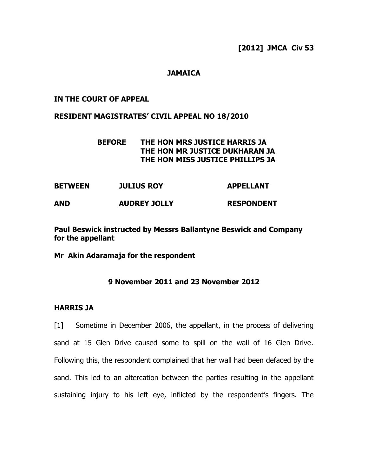### **JAMAICA**

#### **IN THE COURT OF APPEAL**

#### **RESIDENT MAGISTRATES' CIVIL APPEAL NO 18/2010**

## **BEFORE THE HON MRS JUSTICE HARRIS JA THE HON MR JUSTICE DUKHARAN JA THE HON MISS JUSTICE PHILLIPS JA**

| <b>BETWEEN</b> | <b>JULIUS ROY</b>   | <b>APPELLANT</b>  |  |
|----------------|---------------------|-------------------|--|
| <b>AND</b>     | <b>AUDREY JOLLY</b> | <b>RESPONDENT</b> |  |

**Paul Beswick instructed by Messrs Ballantyne Beswick and Company for the appellant**

**Mr Akin Adaramaja for the respondent**

### **9 November 2011 and 23 November 2012**

## **HARRIS JA**

[1] Sometime in December 2006, the appellant, in the process of delivering sand at 15 Glen Drive caused some to spill on the wall of 16 Glen Drive. Following this, the respondent complained that her wall had been defaced by the sand. This led to an altercation between the parties resulting in the appellant sustaining injury to his left eye, inflicted by the respondent's fingers. The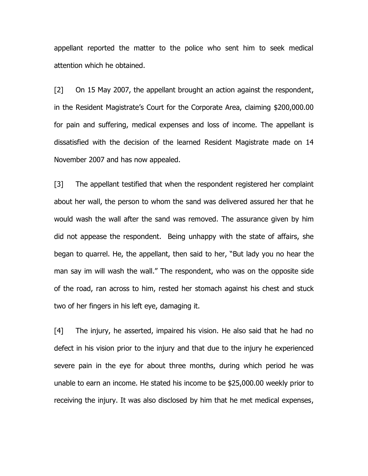appellant reported the matter to the police who sent him to seek medical attention which he obtained.

[2] On 15 May 2007, the appellant brought an action against the respondent, in the Resident Magistrate's Court for the Corporate Area, claiming \$200,000.00 for pain and suffering, medical expenses and loss of income. The appellant is dissatisfied with the decision of the learned Resident Magistrate made on 14 November 2007 and has now appealed.

[3] The appellant testified that when the respondent registered her complaint about her wall, the person to whom the sand was delivered assured her that he would wash the wall after the sand was removed. The assurance given by him did not appease the respondent. Being unhappy with the state of affairs, she began to quarrel. He, the appellant, then said to her, "But lady you no hear the man say im will wash the wall." The respondent, who was on the opposite side of the road, ran across to him, rested her stomach against his chest and stuck two of her fingers in his left eye, damaging it.

[4] The injury, he asserted, impaired his vision. He also said that he had no defect in his vision prior to the injury and that due to the injury he experienced severe pain in the eye for about three months, during which period he was unable to earn an income. He stated his income to be \$25,000.00 weekly prior to receiving the injury. It was also disclosed by him that he met medical expenses,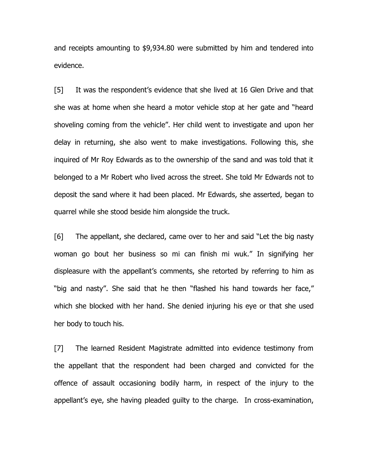and receipts amounting to \$9,934.80 were submitted by him and tendered into evidence.

[5] It was the respondent's evidence that she lived at 16 Glen Drive and that she was at home when she heard a motor vehicle stop at her gate and "heard shoveling coming from the vehicle". Her child went to investigate and upon her delay in returning, she also went to make investigations. Following this, she inquired of Mr Roy Edwards as to the ownership of the sand and was told that it belonged to a Mr Robert who lived across the street. She told Mr Edwards not to deposit the sand where it had been placed. Mr Edwards, she asserted, began to quarrel while she stood beside him alongside the truck.

[6] The appellant, she declared, came over to her and said "Let the big nasty woman go bout her business so mi can finish mi wuk." In signifying her displeasure with the appellant's comments, she retorted by referring to him as "big and nasty". She said that he then "flashed his hand towards her face," which she blocked with her hand. She denied injuring his eye or that she used her body to touch his.

[7] The learned Resident Magistrate admitted into evidence testimony from the appellant that the respondent had been charged and convicted for the offence of assault occasioning bodily harm, in respect of the injury to the appellant's eye, she having pleaded guilty to the charge. In cross-examination,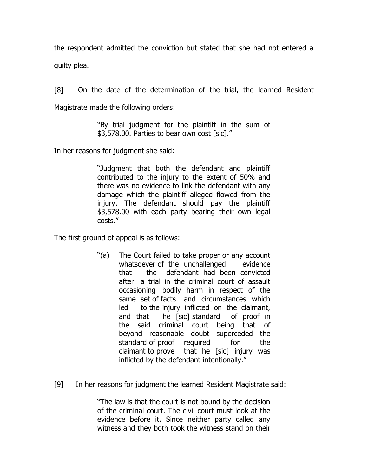the respondent admitted the conviction but stated that she had not entered a guilty plea.

[8] On the date of the determination of the trial, the learned Resident Magistrate made the following orders:

> "By trial judgment for the plaintiff in the sum of \$3,578.00. Parties to bear own cost [sic]."

In her reasons for judgment she said:

"Judgment that both the defendant and plaintiff contributed to the injury to the extent of 50% and there was no evidence to link the defendant with any damage which the plaintiff alleged flowed from the injury. The defendant should pay the plaintiff \$3,578.00 with each party bearing their own legal costs."

The first ground of appeal is as follows:

- "(a) The Court failed to take proper or any account whatsoever of the unchallenged evidence that the defendant had been convicted after a trial in the criminal court of assault occasioning bodily harm in respect of the same set of facts and circumstances which led to the injury inflicted on the claimant, and that he [sic] standard of proof in the said criminal court being that of beyond reasonable doubt superceded the standard of proof required for the claimant to prove that he [sic] injury was inflicted by the defendant intentionally."
- [9] In her reasons for judgment the learned Resident Magistrate said:

"The law is that the court is not bound by the decision of the criminal court. The civil court must look at the evidence before it. Since neither party called any witness and they both took the witness stand on their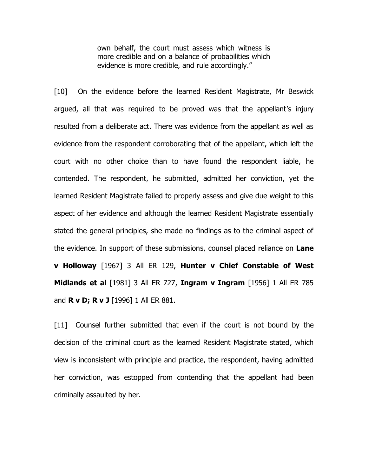own behalf, the court must assess which witness is more credible and on a balance of probabilities which evidence is more credible, and rule accordingly."

[10] On the evidence before the learned Resident Magistrate, Mr Beswick argued, all that was required to be proved was that the appellant's injury resulted from a deliberate act. There was evidence from the appellant as well as evidence from the respondent corroborating that of the appellant, which left the court with no other choice than to have found the respondent liable, he contended. The respondent, he submitted, admitted her conviction, yet the learned Resident Magistrate failed to properly assess and give due weight to this aspect of her evidence and although the learned Resident Magistrate essentially stated the general principles, she made no findings as to the criminal aspect of the evidence. In support of these submissions, counsel placed reliance on **Lane v Holloway** [1967] 3 All ER 129, **Hunter v Chief Constable of West Midlands et al** [1981] 3 All ER 727, **Ingram v Ingram** [1956] 1 All ER 785 and **R v D; R v J** [1996] 1 All ER 881.

[11] Counsel further submitted that even if the court is not bound by the decision of the criminal court as the learned Resident Magistrate stated, which view is inconsistent with principle and practice, the respondent, having admitted her conviction, was estopped from contending that the appellant had been criminally assaulted by her.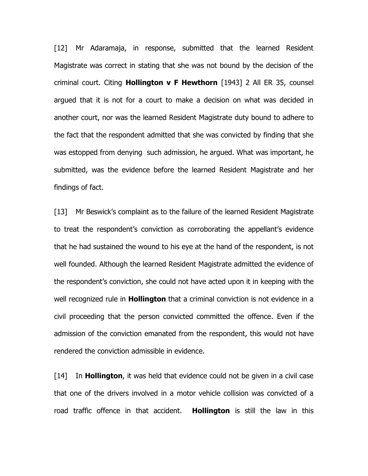[12] Mr Adaramaja, in response, submitted that the learned Resident Magistrate was correct in stating that she was not bound by the decision of the criminal court. Citing **Hollington v F Hewthorn** [1943] 2 All ER 35, counsel argued that it is not for a court to make a decision on what was decided in another court, nor was the learned Resident Magistrate duty bound to adhere to the fact that the respondent admitted that she was convicted by finding that she was estopped from denying such admission, he argued. What was important, he submitted, was the evidence before the learned Resident Magistrate and her findings of fact.

[13] Mr Beswick's complaint as to the failure of the learned Resident Magistrate to treat the respondent's conviction as corroborating the appellant's evidence that he had sustained the wound to his eye at the hand of the respondent, is not well founded. Although the learned Resident Magistrate admitted the evidence of the respondent's conviction, she could not have acted upon it in keeping with the well recognized rule in **Hollington** that a criminal conviction is not evidence in a civil proceeding that the person convicted committed the offence. Even if the admission of the conviction emanated from the respondent, this would not have rendered the conviction admissible in evidence.

[14] In **Hollington**, it was held that evidence could not be given in a civil case that one of the drivers involved in a motor vehicle collision was convicted of a road traffic offence in that accident. **Hollington** is still the law in this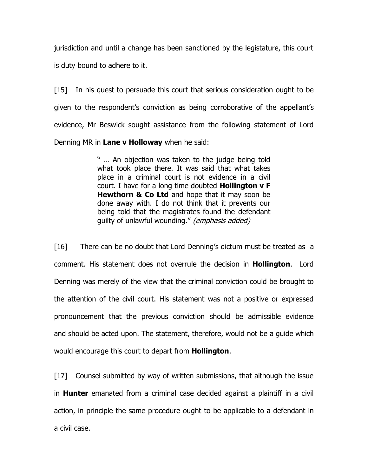jurisdiction and until a change has been sanctioned by the legistature, this court is duty bound to adhere to it.

[15] In his quest to persuade this court that serious consideration ought to be given to the respondent's conviction as being corroborative of the appellant's evidence, Mr Beswick sought assistance from the following statement of Lord Denning MR in **Lane v Holloway** when he said:

> " … An objection was taken to the judge being told what took place there. It was said that what takes place in a criminal court is not evidence in a civil court. I have for a long time doubted **Hollington v F Hewthorn & Co Ltd** and hope that it may soon be done away with. I do not think that it prevents our being told that the magistrates found the defendant guilty of unlawful wounding." (emphasis added)

[16] There can be no doubt that Lord Denning's dictum must be treated as a comment. His statement does not overrule the decision in **Hollington**. Lord Denning was merely of the view that the criminal conviction could be brought to the attention of the civil court. His statement was not a positive or expressed pronouncement that the previous conviction should be admissible evidence and should be acted upon. The statement, therefore, would not be a guide which would encourage this court to depart from **Hollington**.

[17] Counsel submitted by way of written submissions, that although the issue in **Hunter** emanated from a criminal case decided against a plaintiff in a civil action, in principle the same procedure ought to be applicable to a defendant in a civil case.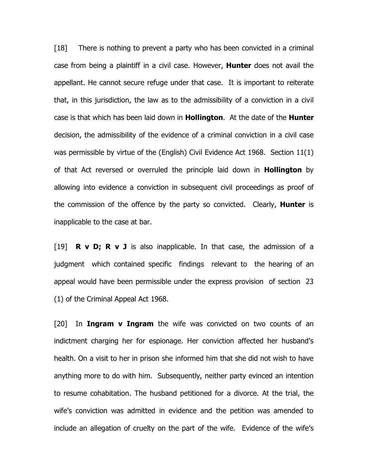[18] There is nothing to prevent a party who has been convicted in a criminal case from being a plaintiff in a civil case. However, **Hunter** does not avail the appellant. He cannot secure refuge under that case. It is important to reiterate that, in this jurisdiction, the law as to the admissibility of a conviction in a civil case is that which has been laid down in **Hollington**. At the date of the **Hunter** decision, the admissibility of the evidence of a criminal conviction in a civil case was permissible by virtue of the (English) Civil Evidence Act 1968. Section 11(1) of that Act reversed or overruled the principle laid down in **Hollington** by allowing into evidence a conviction in subsequent civil proceedings as proof of the commission of the offence by the party so convicted. Clearly, **Hunter** is inapplicable to the case at bar.

[19] **R v D; R v J** is also inapplicable. In that case, the admission of a judgment which contained specific findings relevant to the hearing of an appeal would have been permissible under the express provision of section 23 (1) of the Criminal Appeal Act 1968.

[20] In **Ingram v Ingram** the wife was convicted on two counts of an indictment charging her for espionage. Her conviction affected her husband's health. On a visit to her in prison she informed him that she did not wish to have anything more to do with him. Subsequently, neither party evinced an intention to resume cohabitation. The husband petitioned for a divorce. At the trial, the wife's conviction was admitted in evidence and the petition was amended to include an allegation of cruelty on the part of the wife. Evidence of the wife's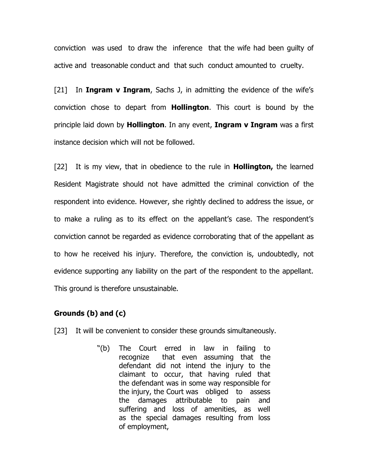conviction was used to draw the inference that the wife had been guilty of active and treasonable conduct and that such conduct amounted to cruelty.

[21] In **Ingram v Ingram**, Sachs J, in admitting the evidence of the wife's conviction chose to depart from **Hollington**. This court is bound by the principle laid down by **Hollington**. In any event, **Ingram v Ingram** was a first instance decision which will not be followed.

[22] It is my view, that in obedience to the rule in **Hollington,** the learned Resident Magistrate should not have admitted the criminal conviction of the respondent into evidence. However, she rightly declined to address the issue, or to make a ruling as to its effect on the appellant's case. The respondent's conviction cannot be regarded as evidence corroborating that of the appellant as to how he received his injury. Therefore, the conviction is, undoubtedly, not evidence supporting any liability on the part of the respondent to the appellant. This ground is therefore unsustainable.

### **Grounds (b) and (c)**

- [23] It will be convenient to consider these grounds simultaneously.
	- "(b) The Court erred in law in failing to recognize that even assuming that the defendant did not intend the injury to the claimant to occur, that having ruled that the defendant was in some way responsible for the injury, the Court was obliged to assess the damages attributable to pain and suffering and loss of amenities, as well as the special damages resulting from loss of employment,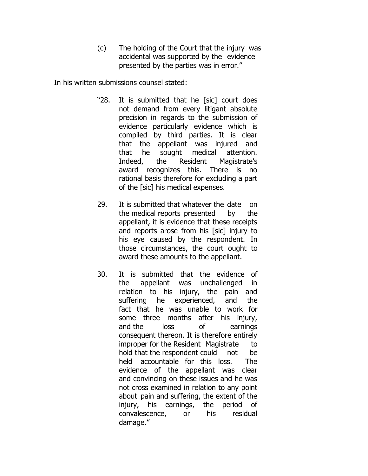(c) The holding of the Court that the injury was accidental was supported by the evidence presented by the parties was in error."

In his written submissions counsel stated:

- "28. It is submitted that he [sic] court does not demand from every litigant absolute precision in regards to the submission of evidence particularly evidence which is compiled by third parties. It is clear that the appellant was injured and that he sought medical attention. Indeed, the Resident Magistrate's award recognizes this. There is no rational basis therefore for excluding a part of the [sic] his medical expenses.
- 29. It is submitted that whatever the date on the medical reports presented by the appellant, it is evidence that these receipts and reports arose from his [sic] injury to his eye caused by the respondent. In those circumstances, the court ought to award these amounts to the appellant.
- 30. It is submitted that the evidence of the appellant was unchallenged in relation to his injury, the pain and suffering he experienced, and the fact that he was unable to work for some three months after his injury, and the loss of earnings consequent thereon. It is therefore entirely improper for the Resident Magistrate to hold that the respondent could not be held accountable for this loss. The evidence of the appellant was clear and convincing on these issues and he was not cross examined in relation to any point about pain and suffering, the extent of the injury, his earnings, the period of convalescence, or his residual damage."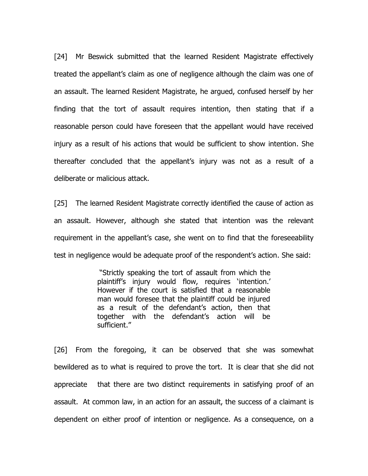[24] Mr Beswick submitted that the learned Resident Magistrate effectively treated the appellant's claim as one of negligence although the claim was one of an assault. The learned Resident Magistrate, he argued, confused herself by her finding that the tort of assault requires intention, then stating that if a reasonable person could have foreseen that the appellant would have received injury as a result of his actions that would be sufficient to show intention. She thereafter concluded that the appellant's injury was not as a result of a deliberate or malicious attack.

[25] The learned Resident Magistrate correctly identified the cause of action as an assault. However, although she stated that intention was the relevant requirement in the appellant's case, she went on to find that the foreseeability test in negligence would be adequate proof of the respondent's action. She said:

> "Strictly speaking the tort of assault from which the plaintiff's injury would flow, requires 'intention.' However if the court is satisfied that a reasonable man would foresee that the plaintiff could be injured as a result of the defendant's action, then that together with the defendant's action will be sufficient."

[26] From the foregoing, it can be observed that she was somewhat bewildered as to what is required to prove the tort. It is clear that she did not appreciate that there are two distinct requirements in satisfying proof of an assault. At common law, in an action for an assault, the success of a claimant is dependent on either proof of intention or negligence. As a consequence, on a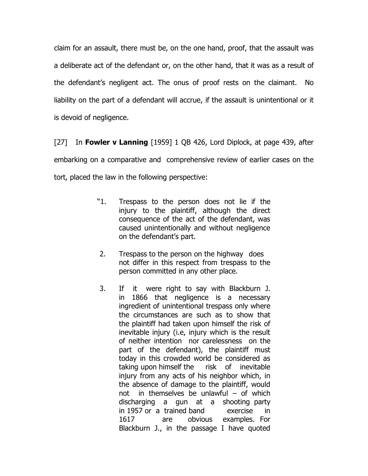claim for an assault, there must be, on the one hand, proof, that the assault was a deliberate act of the defendant or, on the other hand, that it was as a result of the defendant's negligent act. The onus of proof rests on the claimant. No liability on the part of a defendant will accrue, if the assault is unintentional or it is devoid of negligence.

[27] In **Fowler v Lanning** [1959] 1 QB 426, Lord Diplock, at page 439, after embarking on a comparative and comprehensive review of earlier cases on the tort, placed the law in the following perspective:

- "1. Trespass to the person does not lie if the injury to the plaintiff, although the direct consequence of the act of the defendant, was caused unintentionally and without negligence on the defendant's part.
- 2. Trespass to the person on the highway does not differ in this respect from trespass to the person committed in any other place.
- 3. If it were right to say with Blackburn J. in 1866 that negligence is a necessary ingredient of unintentional trespass only where the circumstances are such as to show that the plaintiff had taken upon himself the risk of inevitable injury (i.e, injury which is the result of neither intention nor carelessness on the part of the defendant), the plaintiff must today in this crowded world be considered as taking upon himself the risk of inevitable injury from any acts of his neighbor which, in the absence of damage to the plaintiff, would not in themselves be unlawful  $-$  of which discharging a gun at a shooting party in 1957 or a trained band exercise in 1617 are obvious examples. For Blackburn J., in the passage I have quoted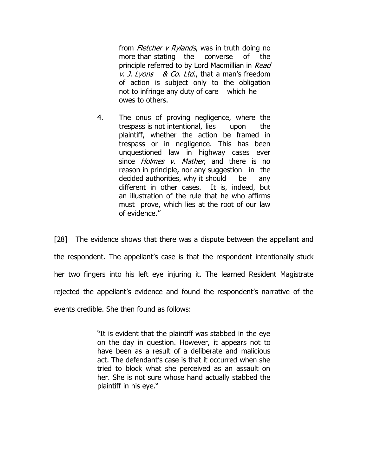from *Fletcher v Rylands*, was in truth doing no more than stating the converse of the principle referred to by Lord Macmillian in Read v. J. Lyons & Co. Ltd., that a man's freedom of action is subject only to the obligation not to infringe any duty of care which he owes to others.

4. The onus of proving negligence, where the trespass is not intentional, lies upon the plaintiff, whether the action be framed in trespass or in negligence. This has been unquestioned law in highway cases ever since *Holmes v. Mather*, and there is no reason in principle, nor any suggestion in the decided authorities, why it should be any different in other cases. It is, indeed, but an illustration of the rule that he who affirms must prove, which lies at the root of our law of evidence."

[28] The evidence shows that there was a dispute between the appellant and the respondent. The appellant's case is that the respondent intentionally stuck her two fingers into his left eye injuring it. The learned Resident Magistrate rejected the appellant's evidence and found the respondent's narrative of the events credible. She then found as follows:

> "It is evident that the plaintiff was stabbed in the eye on the day in question. However, it appears not to have been as a result of a deliberate and malicious act. The defendant's case is that it occurred when she tried to block what she perceived as an assault on her. She is not sure whose hand actually stabbed the plaintiff in his eye."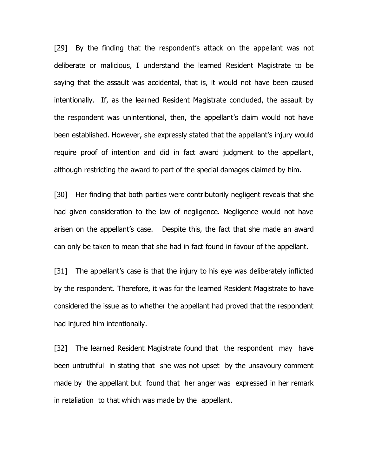[29] By the finding that the respondent's attack on the appellant was not deliberate or malicious, I understand the learned Resident Magistrate to be saying that the assault was accidental, that is, it would not have been caused intentionally. If, as the learned Resident Magistrate concluded, the assault by the respondent was unintentional, then, the appellant's claim would not have been established. However, she expressly stated that the appellant's injury would require proof of intention and did in fact award judgment to the appellant, although restricting the award to part of the special damages claimed by him.

[30] Her finding that both parties were contributorily negligent reveals that she had given consideration to the law of negligence. Negligence would not have arisen on the appellant's case. Despite this, the fact that she made an award can only be taken to mean that she had in fact found in favour of the appellant.

[31] The appellant's case is that the injury to his eye was deliberately inflicted by the respondent. Therefore, it was for the learned Resident Magistrate to have considered the issue as to whether the appellant had proved that the respondent had injured him intentionally.

[32] The learned Resident Magistrate found that the respondent may have been untruthful in stating that she was not upset by the unsavoury comment made by the appellant but found that her anger was expressed in her remark in retaliation to that which was made by the appellant.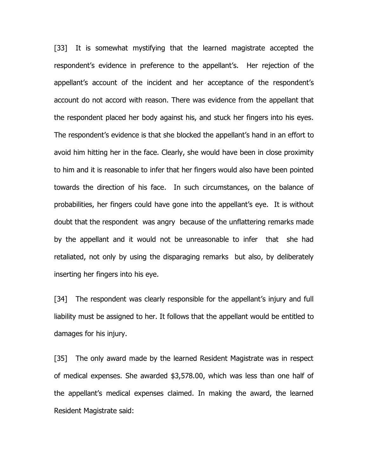[33] It is somewhat mystifying that the learned magistrate accepted the respondent's evidence in preference to the appellant's. Her rejection of the appellant's account of the incident and her acceptance of the respondent's account do not accord with reason. There was evidence from the appellant that the respondent placed her body against his, and stuck her fingers into his eyes. The respondent's evidence is that she blocked the appellant's hand in an effort to avoid him hitting her in the face. Clearly, she would have been in close proximity to him and it is reasonable to infer that her fingers would also have been pointed towards the direction of his face. In such circumstances, on the balance of probabilities, her fingers could have gone into the appellant's eye. It is without doubt that the respondent was angry because of the unflattering remarks made by the appellant and it would not be unreasonable to infer that she had retaliated, not only by using the disparaging remarks but also, by deliberately inserting her fingers into his eye.

[34] The respondent was clearly responsible for the appellant's injury and full liability must be assigned to her. It follows that the appellant would be entitled to damages for his injury.

[35] The only award made by the learned Resident Magistrate was in respect of medical expenses. She awarded \$3,578.00, which was less than one half of the appellant's medical expenses claimed. In making the award, the learned Resident Magistrate said: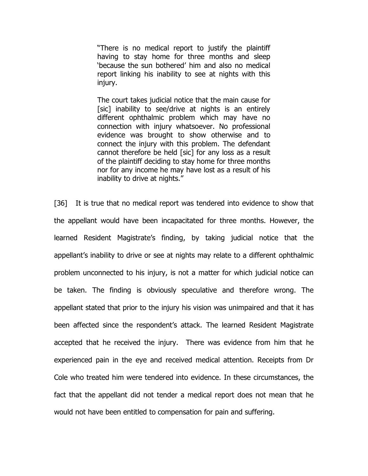"There is no medical report to justify the plaintiff having to stay home for three months and sleep 'because the sun bothered' him and also no medical report linking his inability to see at nights with this injury.

The court takes judicial notice that the main cause for [sic] inability to see/drive at nights is an entirely different ophthalmic problem which may have no connection with injury whatsoever. No professional evidence was brought to show otherwise and to connect the injury with this problem. The defendant cannot therefore be held [sic] for any loss as a result of the plaintiff deciding to stay home for three months nor for any income he may have lost as a result of his inability to drive at nights."

[36] It is true that no medical report was tendered into evidence to show that the appellant would have been incapacitated for three months. However, the learned Resident Magistrate's finding, by taking judicial notice that the appellant's inability to drive or see at nights may relate to a different ophthalmic problem unconnected to his injury, is not a matter for which judicial notice can be taken. The finding is obviously speculative and therefore wrong. The appellant stated that prior to the injury his vision was unimpaired and that it has been affected since the respondent's attack. The learned Resident Magistrate accepted that he received the injury. There was evidence from him that he experienced pain in the eye and received medical attention. Receipts from Dr Cole who treated him were tendered into evidence. In these circumstances, the fact that the appellant did not tender a medical report does not mean that he would not have been entitled to compensation for pain and suffering.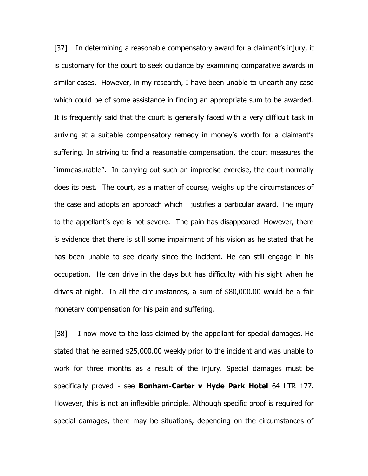[37] In determining a reasonable compensatory award for a claimant's injury, it is customary for the court to seek guidance by examining comparative awards in similar cases. However, in my research, I have been unable to unearth any case which could be of some assistance in finding an appropriate sum to be awarded. It is frequently said that the court is generally faced with a very difficult task in arriving at a suitable compensatory remedy in money's worth for a claimant's suffering. In striving to find a reasonable compensation, the court measures the "immeasurable". In carrying out such an imprecise exercise, the court normally does its best. The court, as a matter of course, weighs up the circumstances of the case and adopts an approach which justifies a particular award. The injury to the appellant's eye is not severe. The pain has disappeared. However, there is evidence that there is still some impairment of his vision as he stated that he has been unable to see clearly since the incident. He can still engage in his occupation. He can drive in the days but has difficulty with his sight when he drives at night. In all the circumstances, a sum of \$80,000.00 would be a fair monetary compensation for his pain and suffering.

[38] I now move to the loss claimed by the appellant for special damages. He stated that he earned \$25,000.00 weekly prior to the incident and was unable to work for three months as a result of the injury. Special damages must be specifically proved - see **Bonham-Carter v Hyde Park Hotel** 64 LTR 177. However, this is not an inflexible principle. Although specific proof is required for special damages, there may be situations, depending on the circumstances of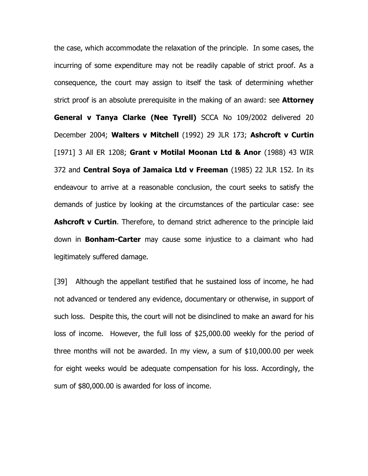the case, which accommodate the relaxation of the principle. In some cases, the incurring of some expenditure may not be readily capable of strict proof. As a consequence, the court may assign to itself the task of determining whether strict proof is an absolute prerequisite in the making of an award: see **Attorney General v Tanya Clarke (Nee Tyrell)** SCCA No 109/2002 delivered 20 December 2004; **Walters v Mitchell** (1992) 29 JLR 173; **Ashcroft v Curtin** [1971] 3 All ER 1208; **Grant v Motilal Moonan Ltd & Anor** (1988) 43 WIR 372 and **Central Soya of Jamaica Ltd v Freeman** (1985) 22 JLR 152. In its endeavour to arrive at a reasonable conclusion, the court seeks to satisfy the demands of justice by looking at the circumstances of the particular case: see **Ashcroft v Curtin**. Therefore, to demand strict adherence to the principle laid down in **Bonham-Carter** may cause some injustice to a claimant who had legitimately suffered damage.

[39] Although the appellant testified that he sustained loss of income, he had not advanced or tendered any evidence, documentary or otherwise, in support of such loss. Despite this, the court will not be disinclined to make an award for his loss of income. However, the full loss of \$25,000.00 weekly for the period of three months will not be awarded. In my view, a sum of \$10,000.00 per week for eight weeks would be adequate compensation for his loss. Accordingly, the sum of \$80,000.00 is awarded for loss of income.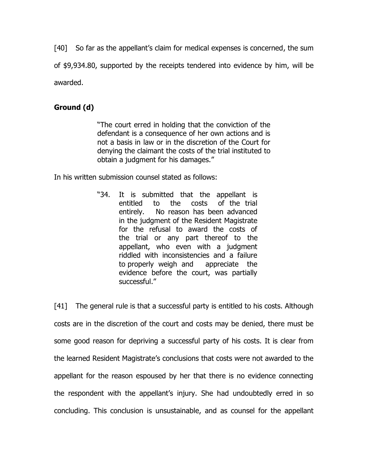[40] So far as the appellant's claim for medical expenses is concerned, the sum of \$9,934.80, supported by the receipts tendered into evidence by him, will be awarded.

# **Ground (d)**

"The court erred in holding that the conviction of the defendant is a consequence of her own actions and is not a basis in law or in the discretion of the Court for denying the claimant the costs of the trial instituted to obtain a judgment for his damages."

In his written submission counsel stated as follows:

"34. It is submitted that the appellant is entitled to the costs of the trial entirely. No reason has been advanced in the judgment of the Resident Magistrate for the refusal to award the costs of the trial or any part thereof to the appellant, who even with a judgment riddled with inconsistencies and a failure to properly weigh and appreciate the evidence before the court, was partially successful."

[41] The general rule is that a successful party is entitled to his costs. Although costs are in the discretion of the court and costs may be denied, there must be some good reason for depriving a successful party of his costs. It is clear from the learned Resident Magistrate's conclusions that costs were not awarded to the appellant for the reason espoused by her that there is no evidence connecting the respondent with the appellant's injury. She had undoubtedly erred in so concluding. This conclusion is unsustainable, and as counsel for the appellant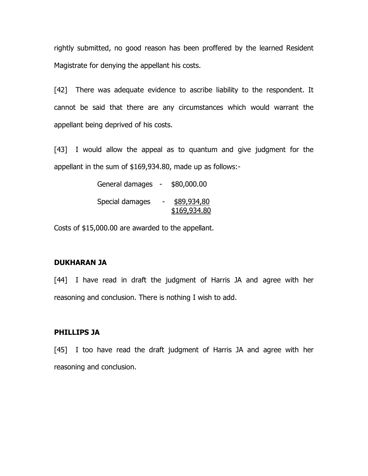rightly submitted, no good reason has been proffered by the learned Resident Magistrate for denying the appellant his costs.

[42] There was adequate evidence to ascribe liability to the respondent. It cannot be said that there are any circumstances which would warrant the appellant being deprived of his costs.

[43] I would allow the appeal as to quantum and give judgment for the appellant in the sum of \$169,934.80, made up as follows:-

| General damages | $\overline{\phantom{a}}$ | \$80,000.00                 |
|-----------------|--------------------------|-----------------------------|
| Special damages |                          | \$89,934,80<br>\$169,934.80 |

Costs of \$15,000.00 are awarded to the appellant.

#### **DUKHARAN JA**

[44] I have read in draft the judgment of Harris JA and agree with her reasoning and conclusion. There is nothing I wish to add.

#### **PHILLIPS JA**

[45] I too have read the draft judgment of Harris JA and agree with her reasoning and conclusion.